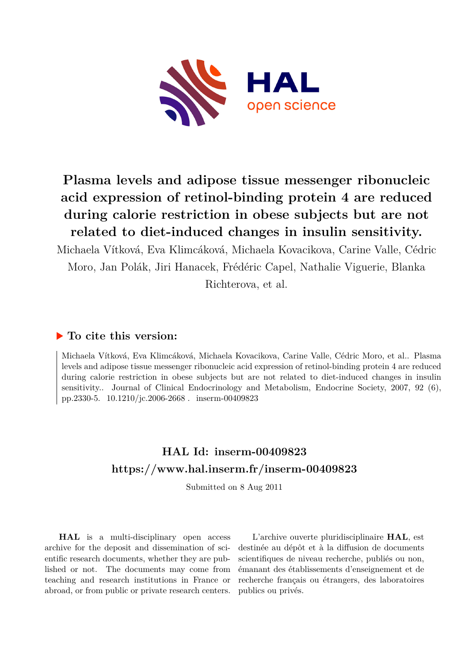

# **Plasma levels and adipose tissue messenger ribonucleic acid expression of retinol-binding protein 4 are reduced during calorie restriction in obese subjects but are not related to diet-induced changes in insulin sensitivity.**

Michaela Vítková, Eva Klimcáková, Michaela Kovacikova, Carine Valle, Cédric Moro, Jan Polák, Jiri Hanacek, Frédéric Capel, Nathalie Viguerie, Blanka Richterova, et al.

# **To cite this version:**

Michaela Vítková, Eva Klimcáková, Michaela Kovacikova, Carine Valle, Cédric Moro, et al.. Plasma levels and adipose tissue messenger ribonucleic acid expression of retinol-binding protein 4 are reduced during calorie restriction in obese subjects but are not related to diet-induced changes in insulin sensitivity.. Journal of Clinical Endocrinology and Metabolism, Endocrine Society, 2007, 92 (6), pp.2330-5. 10.1210/jc.2006-2668. inserm-00409823

# **HAL Id: inserm-00409823 <https://www.hal.inserm.fr/inserm-00409823>**

Submitted on 8 Aug 2011

**HAL** is a multi-disciplinary open access archive for the deposit and dissemination of scientific research documents, whether they are published or not. The documents may come from teaching and research institutions in France or abroad, or from public or private research centers.

L'archive ouverte pluridisciplinaire **HAL**, est destinée au dépôt et à la diffusion de documents scientifiques de niveau recherche, publiés ou non, émanant des établissements d'enseignement et de recherche français ou étrangers, des laboratoires publics ou privés.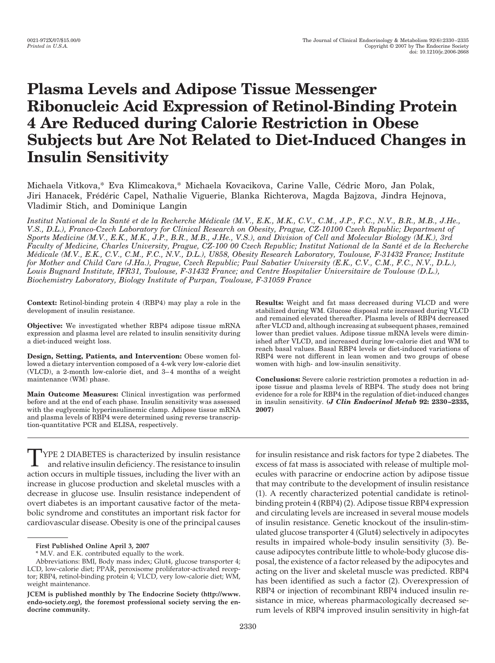# **Plasma Levels and Adipose Tissue Messenger Ribonucleic Acid Expression of Retinol-Binding Protein 4 Are Reduced during Calorie Restriction in Obese Subjects but Are Not Related to Diet-Induced Changes in Insulin Sensitivity**

Michaela Vitkova,\* Eva Klimcakova,\* Michaela Kovacikova, Carine Valle, Cédric Moro, Jan Polak, Jiri Hanacek, Frédéric Capel, Nathalie Viguerie, Blanka Richterova, Magda Bajzova, Jindra Hejnova, Vladimir Stich, and Dominique Langin

*Institut National de la Santé et de la Recherche Médicale (M.V., E.K., M.K., C.V., C.M., J.P., F.C., N.V., B.R., M.B., J.He.*, *V.S., D.L.), Franco-Czech Laboratory for Clinical Research on Obesity, Prague, CZ-10100 Czech Republic; Department of Sports Medicine (M.V., E.K., M.K., J.P., B.R., M.B., J.He., V.S.), and Division of Cell and Molecular Biology (M.K.), 3rd Faculty of Medicine, Charles University, Prague, CZ-100 00 Czech Republic; Institut National de la Sante´ et de la Recherche Me´dicale (M.V., E.K., C.V., C.M., F.C., N.V., D.L.), U858, Obesity Research Laboratory, Toulouse, F-31432 France; Institute for Mother and Child Care (J.Ha.), Prague, Czech Republic; Paul Sabatier University (E.K., C.V., C.M., F.C., N.V., D.L.), Louis Bugnard Institute, IFR31, Toulouse, F-31432 France; and Centre Hospitalier Universitaire de Toulouse (D.L.), Biochemistry Laboratory, Biology Institute of Purpan, Toulouse, F-31059 France*

**Context:** Retinol-binding protein 4 (RBP4) may play a role in the development of insulin resistance.

**Objective:** We investigated whether RBP4 adipose tissue mRNA expression and plasma level are related to insulin sensitivity during a diet-induced weight loss.

**Design, Setting, Patients, and Intervention:** Obese women followed a dietary intervention composed of a 4-wk very low-calorie diet (VLCD), a 2-month low-calorie diet, and 3– 4 months of a weight maintenance (WM) phase.

**Main Outcome Measures:** Clinical investigation was performed before and at the end of each phase. Insulin sensitivity was assessed with the euglycemic hyperinsulinemic clamp. Adipose tissue mRNA and plasma levels of RBP4 were determined using reverse transcription-quantitative PCR and ELISA, respectively.

**Results:** Weight and fat mass decreased during VLCD and were stabilized during WM. Glucose disposal rate increased during VLCD and remained elevated thereafter. Plasma levels of RBP4 decreased after VLCD and, although increasing at subsequent phases, remained lower than prediet values. Adipose tissue mRNA levels were diminished after VLCD, and increased during low-calorie diet and WM to reach basal values. Basal RBP4 levels or diet-induced variations of RBP4 were not different in lean women and two groups of obese women with high- and low-insulin sensitivity.

**Conclusions:** Severe calorie restriction promotes a reduction in adipose tissue and plasma levels of RBP4. The study does not bring evidence for a role for RBP4 in the regulation of diet-induced changes in insulin sensitivity. **(***J Clin Endocrinol Metab* **92: 2330 –2335, 2007)**

TYPE 2 DIABETES is characterized by insulin resistance and relative insulin deficiency. The resistance to insulin action occurs in multiple tissues, including the liver with an increase in glucose production and skeletal muscles with a decrease in glucose use. Insulin resistance independent of overt diabetes is an important causative factor of the metabolic syndrome and constitutes an important risk factor for cardiovascular disease. Obesity is one of the principal causes

for insulin resistance and risk factors for type 2 diabetes. The excess of fat mass is associated with release of multiple molecules with paracrine or endocrine action by adipose tissue that may contribute to the development of insulin resistance (1). A recently characterized potential candidate is retinolbinding protein 4 (RBP4) (2). Adipose tissue RBP4 expression and circulating levels are increased in several mouse models of insulin resistance. Genetic knockout of the insulin-stimulated glucose transporter 4 (Glut4) selectively in adipocytes results in impaired whole-body insulin sensitivity (3). Because adipocytes contribute little to whole-body glucose disposal, the existence of a factor released by the adipocytes and acting on the liver and skeletal muscle was predicted. RBP4 has been identified as such a factor (2). Overexpression of RBP4 or injection of recombinant RBP4 induced insulin resistance in mice, whereas pharmacologically decreased serum levels of RBP4 improved insulin sensitivity in high-fat

**First Published Online April 3, 2007**

<sup>\*</sup> M.V. and E.K. contributed equally to the work.

Abbreviations: BMI, Body mass index; Glut4, glucose transporter 4; LCD, low-calorie diet; PPAR, peroxisome proliferator-activated receptor; RBP4, retinol-binding protein 4; VLCD, very low-calorie diet; WM, weight maintenance.

**JCEM is published monthly by The Endocrine Society (http://www. endo-society.org), the foremost professional society serving the endocrine community.**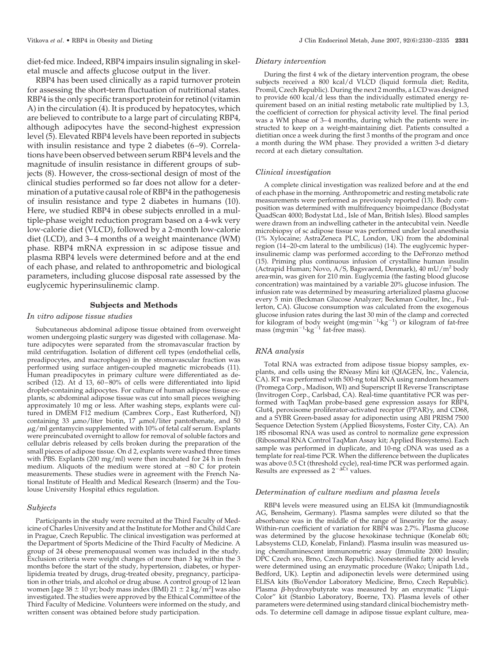diet-fed mice. Indeed, RBP4 impairs insulin signaling in skeletal muscle and affects glucose output in the liver.

RBP4 has been used clinically as a rapid turnover protein for assessing the short-term fluctuation of nutritional states. RBP4 is the only specific transport protein for retinol (vitamin A) in the circulation (4). It is produced by hepatocytes, which are believed to contribute to a large part of circulating RBP4, although adipocytes have the second-highest expression level (5). Elevated RBP4 levels have been reported in subjects with insulin resistance and type 2 diabetes (6–9). Correlations have been observed between serum RBP4 levels and the magnitude of insulin resistance in different groups of subjects (8). However, the cross-sectional design of most of the clinical studies performed so far does not allow for a determination of a putative causal role of RBP4 in the pathogenesis of insulin resistance and type 2 diabetes in humans (10). Here, we studied RBP4 in obese subjects enrolled in a multiple-phase weight reduction program based on a 4-wk very low-calorie diet (VLCD), followed by a 2-month low-calorie diet (LCD), and 3–4 months of a weight maintenance (WM) phase. RBP4 mRNA expression in sc adipose tissue and plasma RBP4 levels were determined before and at the end of each phase, and related to anthropometric and biological parameters, including glucose disposal rate assessed by the euglycemic hyperinsulinemic clamp.

### **Subjects and Methods**

#### *In vitro adipose tissue studies*

Subcutaneous abdominal adipose tissue obtained from overweight women undergoing plastic surgery was digested with collagenase. Mature adipocytes were separated from the stromavascular fraction by mild centrifugation. Isolation of different cell types (endothelial cells, preadipocytes, and macrophages) in the stromavascular fraction was performed using surface antigen-coupled magnetic microbeads (11). Human preadipocytes in primary culture were differentiated as described (12). At d 13, 60-80% of cells were differentiated into lipid droplet-containing adipocytes. For culture of human adipose tissue explants, sc abdominal adipose tissue was cut into small pieces weighing approximately 10 mg or less. After washing steps, explants were cultured in DMEM F12 medium (Cambrex Corp., East Rutherford, NJ) containing 33  $\mu$ mo/liter biotin, 17  $\mu$ mol/liter pantothenate, and 50  $\mu$ g/ml gentamycin supplemented with 10% of fetal calf serum. Explants were preincubated overnight to allow for removal of soluble factors and cellular debris released by cells broken during the preparation of the small pieces of adipose tissue. On d 2, explants were washed three times with PBS. Explants (200 mg/ml) were then incubated for 24 h in fresh medium. Aliquots of the medium were stored at  $-80$  C for protein measurements. These studies were in agreement with the French National Institute of Health and Medical Research (Inserm) and the Toulouse University Hospital ethics regulation.

#### *Subjects*

Participants in the study were recruited at the Third Faculty of Medicine of Charles University and at the Institute for Mother and Child Care in Prague, Czech Republic. The clinical investigation was performed at the Department of Sports Medicine of the Third Faculty of Medicine. A group of 24 obese premenopausal women was included in the study. Exclusion criteria were weight changes of more than 3 kg within the 3 months before the start of the study, hypertension, diabetes, or hyperlipidemia treated by drugs, drug-treated obesity, pregnancy, participation in other trials, and alcohol or drug abuse. A control group of 12 lean women [age  $38 \pm 10$  yr; body mass index (BMI)  $21 \pm 2$  kg/m<sup>2</sup>] was also investigated. The studies were approved by the Ethical Committee of the Third Faculty of Medicine. Volunteers were informed on the study, and written consent was obtained before study participation.

#### *Dietary intervention*

During the first 4 wk of the dietary intervention program, the obese subjects received a 800 kcal/d VLCD (liquid formula diet; Redita, Promil, Czech Republic). During the next 2 months, a LCD was designed to provide 600 kcal/d less than the individually estimated energy requirement based on an initial resting metabolic rate multiplied by 1.3, the coefficient of correction for physical activity level. The final period was a WM phase of 3–4 months, during which the patients were instructed to keep on a weight-maintaining diet. Patients consulted a dietitian once a week during the first 3 months of the program and once a month during the WM phase. They provided a written 3-d dietary record at each dietary consultation.

#### *Clinical investigation*

A complete clinical investigation was realized before and at the end of each phase in the morning. Anthropometric and resting metabolic rate measurements were performed as previously reported (13). Body composition was determined with multifrequency bioimpedance (Bodystat QuadScan 4000; Bodystat Ltd., Isle of Man, British Isles). Blood samples were drawn from an indwelling catheter in the antecubital vein. Needle microbiopsy of sc adipose tissue was performed under local anesthesia (1% Xylocaine; AstraZeneca PLC, London, UK) from the abdominal region (14 –20-cm lateral to the umbilicus) (14). The euglycemic hyperinsulinemic clamp was performed according to the DeFronzo method (15). Priming plus continuous infusion of crystalline human insulin (Actrapid Human; Novo, A/S, Bagsvaerd, Denmark), 40 mU/m2 body areamin, was given for 210 min. Euglycemia (the fasting blood glucose concentration) was maintained by a variable 20% glucose infusion. The infusion rate was determined by measuring arterialized plasma glucose every 5 min (Beckman Glucose Analyzer; Beckman Coulter, Inc., Fullerton, CA). Glucose consumption was calculated from the exogenous glucose infusion rates during the last 30 min of the clamp and corrected for kilogram of body weight (mg·min<sup>-1</sup>·kg<sup>-1</sup>) or kilogram of fat-free mass (mg·min<sup>-1</sup>·kg<sup>-1</sup> fat-free mass).

#### *RNA analysis*

Total RNA was extracted from adipose tissue biopsy samples, explants, and cells using the RNeasy Mini kit (QIAGEN, Inc., Valencia, CA). RT was performed with 500-ng total RNA using random hexamers (Promega Corp., Madison, WI) and Superscript II Reverse Transcriptase (Invitrogen Corp., Carlsbad, CA). Real-time quantitative PCR was performed with TaqMan probe-based gene expression assays for RBP4, Glut4, peroxisome proliferator-activated receptor (PPAR)γ, and CD68, and a SYBR Green-based assay for adiponectin using ABI PRISM 7500 Sequence Detection System (Applied Biosystems, Foster City, CA). An 18S ribosomal RNA was used as control to normalize gene expression (Ribosomal RNA Control TaqMan Assay kit; Applied Biosystems). Each sample was performed in duplicate, and 10-ng cDNA was used as a template for real-time PCR. When the difference between the duplicates was above 0.5 Ct (threshold cycle), real-time PCR was performed again.<br>Results are expressed as 2<sup>-ACt</sup> values.

#### *Determination of culture medium and plasma levels*

RBP4 levels were measured using an ELISA kit (Immundiagnostik AG, Bensheim, Germany). Plasma samples were diluted so that the absorbance was in the middle of the range of linearity for the assay. Within-run coefficient of variation for RBP4 was 2.7%. Plasma glucose was determined by the glucose hexokinase technique (Konelab 60i; Labsystems CLD, Konelab, Finland). Plasma insulin was measured using chemiluminescent immunometric assay (Immulite 2000 Insulin; DPC Czech sro, Brno, Czech Republic). Nonesterified fatty acid levels were determined using an enzymatic procedure (Wako; Unipath Ltd., Bedford, UK). Leptin and adiponectin levels were determined using ELISA kits (BioVendor Laboratory Medicine, Brno, Czech Republic). Plasma  $\beta$ -hydroxybutyrate was measured by an enzymatic "Liqui-Color" kit (Stanbio Laboratory, Boerne, TX). Plasma levels of other parameters were determined using standard clinical biochemistry methods. To determine cell damage in adipose tissue explant culture, mea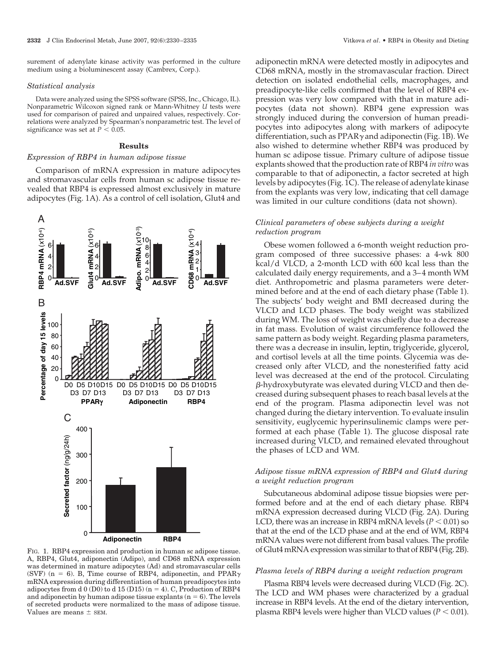surement of adenylate kinase activity was performed in the culture medium using a bioluminescent assay (Cambrex, Corp.).

#### *Statistical analysis*

Data were analyzed using the SPSS software (SPSS, Inc., Chicago, IL). Nonparametric Wilcoxon signed rank or Mann-Whitney *U* tests were used for comparison of paired and unpaired values, respectively. Correlations were analyzed by Spearman's nonparametric test. The level of significance was set at  $P < 0.05$ .

### **Results**

## *Expression of RBP4 in human adipose tissue*

Comparison of mRNA expression in mature adipocytes and stromavascular cells from human sc adipose tissue revealed that RBP4 is expressed almost exclusively in mature adipocytes (Fig. 1A). As a control of cell isolation, Glut4 and



FIG. 1. RBP4 expression and production in human sc adipose tissue. A, RBP4, Glut4, adiponectin (Adipo), and CD68 mRNA expression was determined in mature adipocytes (Ad) and stromavascular cells (SVF) ( $n = 6$ ). B, Time course of RBP4, adiponectin, and PPAR $\gamma$ mRNA expression during differentiation of human preadipocytes into adipocytes from d  $0(D0)$  to d  $15(D15)$  (n = 4). C, Production of RBP4 and adiponectin by human adipose tissue explants  $(n = 6)$ . The levels of secreted products were normalized to the mass of adipose tissue. Values are means  $\pm$  SEM.

adiponectin mRNA were detected mostly in adipocytes and CD68 mRNA, mostly in the stromavascular fraction. Direct detection on isolated endothelial cells, macrophages, and preadipocyte-like cells confirmed that the level of RBP4 expression was very low compared with that in mature adipocytes (data not shown). RBP4 gene expression was strongly induced during the conversion of human preadipocytes into adipocytes along with markers of adipocyte differentiation, such as  $\text{PPAR}\gamma$  and adiponectin (Fig. 1B). We also wished to determine whether RBP4 was produced by human sc adipose tissue. Primary culture of adipose tissue explants showed that the production rate of RBP4 *in vitro* was comparable to that of adiponectin, a factor secreted at high levels by adipocytes (Fig. 1C). The release of adenylate kinase from the explants was very low, indicating that cell damage was limited in our culture conditions (data not shown).

## *Clinical parameters of obese subjects during a weight reduction program*

Obese women followed a 6-month weight reduction program composed of three successive phases: a 4-wk 800 kcal/d VLCD, a 2-month LCD with 600 kcal less than the calculated daily energy requirements, and a 3– 4 month WM diet. Anthropometric and plasma parameters were determined before and at the end of each dietary phase (Table 1). The subjects' body weight and BMI decreased during the VLCD and LCD phases. The body weight was stabilized during WM. The loss of weight was chiefly due to a decrease in fat mass. Evolution of waist circumference followed the same pattern as body weight. Regarding plasma parameters, there was a decrease in insulin, leptin, triglyceride, glycerol, and cortisol levels at all the time points. Glycemia was decreased only after VLCD, and the nonesterified fatty acid level was decreased at the end of the protocol. Circulating -hydroxybutyrate was elevated during VLCD and then decreased during subsequent phases to reach basal levels at the end of the program. Plasma adiponectin level was not changed during the dietary intervention. To evaluate insulin sensitivity, euglycemic hyperinsulinemic clamps were performed at each phase (Table 1). The glucose disposal rate increased during VLCD, and remained elevated throughout the phases of LCD and WM.

# *Adipose tissue mRNA expression of RBP4 and Glut4 during a weight reduction program*

Subcutaneous abdominal adipose tissue biopsies were performed before and at the end of each dietary phase. RBP4 mRNA expression decreased during VLCD (Fig. 2A). During LCD, there was an increase in RBP4 mRNA levels  $(P < 0.01)$  so that at the end of the LCD phase and at the end of WM, RBP4 mRNA values were not different from basal values. The profile of Glut4 mRNA expression was similar to that of RBP4 (Fig. 2B).

#### *Plasma levels of RBP4 during a weight reduction program*

Plasma RBP4 levels were decreased during VLCD (Fig. 2C). The LCD and WM phases were characterized by a gradual increase in RBP4 levels. At the end of the dietary intervention, plasma RBP4 levels were higher than VLCD values ( $P < 0.01$ ).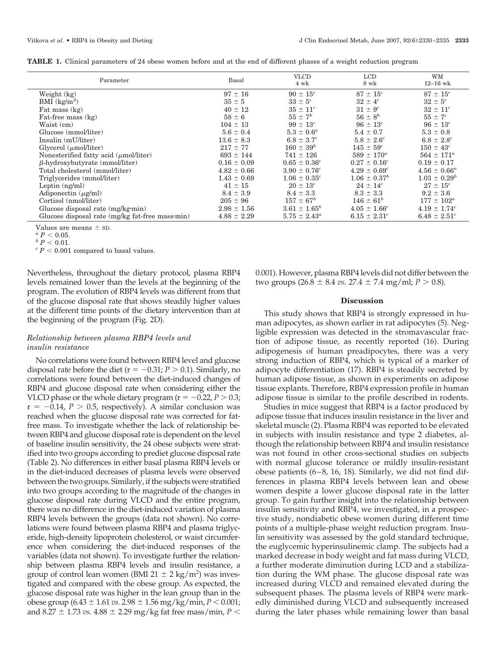| TABLE 1. Clinical parameters of 24 obese women before and at the end of different phases of a weight reduction program |  |
|------------------------------------------------------------------------------------------------------------------------|--|
|------------------------------------------------------------------------------------------------------------------------|--|

| Parameter                                       | Basal           | <b>VLCD</b><br>4 wk          | <b>LCD</b><br>8 wk      | <b>WM</b><br>$12-16$ wk |
|-------------------------------------------------|-----------------|------------------------------|-------------------------|-------------------------|
| Weight (kg)                                     | $97 \pm 16$     | $90 \pm 15^{c}$              | $87 \pm 15^{c}$         | $87 \pm 15^{c}$         |
| BMI $(kg/m^2)$                                  | $35 \pm 5$      | $33 \pm 5^c$                 | $32 \pm 4^c$            | $32 \pm 5^c$            |
| Fat mass (kg)                                   | $40 \pm 12$     | $35 \pm 11^{c}$              | $31 \pm 9$ <sup>c</sup> | $32 \pm 11^{c}$         |
| Fat-free mass (kg)                              | $58 \pm 6$      | $55 \pm 7^b$                 | $56 \pm 8^b$            | $55 \pm 7^c$            |
| Waist (cm)                                      | $104 \pm 13$    | $99 \pm 13^c$                | $96 \pm 13^c$           | $96 \pm 13^{c}$         |
| Glucose (mmol/liter)                            | $5.6 \pm 0.4$   | $5.3 \pm 0.6^a$              | $5.4 \pm 0.7$           | $5.3 \pm 0.8$           |
| Insulin (mU/liter)                              | $13.6 \pm 8.3$  | $6.8 \pm 3.7^c$              | $5.8 \pm 2.6^c$         | $6.8 \pm 2.8^c$         |
| Glycerol $(\mu$ mol/liter)                      | $217 \pm 77$    | $160 \pm 39^{b}$             | $145 \pm 59^c$          | $150 \pm 43^c$          |
| Nonesterified fatty acid $(\mu$ mol/liter)      | $693 \pm 144$   | $741 \pm 126$                | $589 \pm 170^a$         | $564 \pm 171^a$         |
| $\beta$ -hydroxybutyrate (mmol/liter)           | $0.16 \pm 0.09$ | $0.65 \pm 0.36^c$            | $0.27 \pm 0.16^c$       | $0.19 \pm 0.17$         |
| Total cholesterol (mmol/liter)                  | $4.82 \pm 0.66$ | $3.90 \pm 0.76$ <sup>c</sup> | $4.29 \pm 0.69^c$       | $4.56 \pm 0.66^a$       |
| Triglycerides (mmol/liter)                      | $1.43 \pm 0.69$ | $1.06 \pm 0.35^c$            | $1.06 \pm 0.37^b$       | $1.03 \pm 0.29^b$       |
| Leptin $(ng/ml)$                                | $41 \pm 15$     | $20 \pm 13^{c}$              | $24 \pm 14^c$           | $27 \pm 15^{c}$         |
| Adiponectin $(\mu\text{g/ml})$                  | $8.4 \pm 3.9$   | $8.4 \pm 3.3$                | $8.3 \pm 3.3$           | $9.2 \pm 3.6$           |
| Cortisol (nmol/liter)                           | $205 \pm 96$    | $157 \pm 67^{b}$             | $146 \pm 61^{b}$        | $177 \pm 102^a$         |
| Glucose disposal rate (mg/kg·min)               | $2.98 \pm 1.56$ | $3.61 \pm 1.65^b$            | $4.05 \pm 1.66^c$       | $4.19 \pm 1.74^c$       |
| Glucose disposal rate (mg/kg fat-free mass min) | $4.88 \pm 2.29$ | $5.75 \pm 2.43^a$            | $6.15 \pm 2.31^c$       | $6.48 \pm 2.51^c$       |

Values are means  $\pm$  sD.<br>  $\alpha P < 0.05$ .

 $\overset{b}{c}P<0.01.$   $\overset{c}{c}P<0.001$  compared to basal values.

Nevertheless, throughout the dietary protocol, plasma RBP4 levels remained lower than the levels at the beginning of the program. The evolution of RBP4 levels was different from that of the glucose disposal rate that shows steadily higher values at the different time points of the dietary intervention than at the beginning of the program (Fig. 2D).

# *Relationship between plasma RBP4 levels and insulin resistance*

No correlations were found between RBP4 level and glucose disposal rate before the diet ( $r = -0.31; P > 0.1$ ). Similarly, no correlations were found between the diet-induced changes of RBP4 and glucose disposal rate when considering either the VLCD phase or the whole dietary program ( $r = -0.22$ ,  $P > 0.3$ ;  $r = -0.14$ ,  $P > 0.5$ , respectively). A similar conclusion was reached when the glucose disposal rate was corrected for fatfree mass. To investigate whether the lack of relationship between RBP4 and glucose disposal rate is dependent on the level of baseline insulin sensitivity, the 24 obese subjects were stratified into two groups according to prediet glucose disposal rate (Table 2). No differences in either basal plasma RBP4 levels or in the diet-induced decreases of plasma levels were observed between the two groups. Similarly, if the subjects were stratified into two groups according to the magnitude of the changes in glucose disposal rate during VLCD and the entire program, there was no difference in the diet-induced variation of plasma RBP4 levels between the groups (data not shown). No correlations were found between plasma RBP4 and plasma triglyceride, high-density lipoprotein cholesterol, or waist circumference when considering the diet-induced responses of the variables (data not shown). To investigate further the relationship between plasma RBP4 levels and insulin resistance, a group of control lean women (BMI 21  $\pm$  2 kg/m<sup>2</sup>) was investigated and compared with the obese group. As expected, the glucose disposal rate was higher in the lean group than in the obese group (6.43  $\pm$  1.61 *vs.* 2.98  $\pm$  1.56 mg/kg/min, *P* < 0.001; and 8.27  $\pm$  1.73 *vs.* 4.88  $\pm$  2.29 mg/kg fat free mass/min, P  $<$ 

0.001). However, plasma RBP4 levels did not differ between the two groups  $(26.8 \pm 8.4 \text{ vs. } 27.4 \pm 7.4 \text{ mg/ml}; P > 0.8)$ .

#### **Discussion**

This study shows that RBP4 is strongly expressed in human adipocytes, as shown earlier in rat adipocytes (5). Negligible expression was detected in the stromavascular fraction of adipose tissue, as recently reported (16). During adipogenesis of human preadipocytes, there was a very strong induction of RBP4, which is typical of a marker of adipocyte differentiation (17). RBP4 is steadily secreted by human adipose tissue, as shown in experiments on adipose tissue explants. Therefore, RBP4 expression profile in human adipose tissue is similar to the profile described in rodents.

Studies in mice suggest that RBP4 is a factor produced by adipose tissue that induces insulin resistance in the liver and skeletal muscle (2). Plasma RBP4 was reported to be elevated in subjects with insulin resistance and type 2 diabetes, although the relationship between RBP4 and insulin resistance was not found in other cross-sectional studies on subjects with normal glucose tolerance or mildly insulin-resistant obese patients  $(6-8, 16, 18)$ . Similarly, we did not find differences in plasma RBP4 levels between lean and obese women despite a lower glucose disposal rate in the latter group. To gain further insight into the relationship between insulin sensitivity and RBP4, we investigated, in a prospective study, nondiabetic obese women during different time points of a multiple-phase weight reduction program. Insulin sensitivity was assessed by the gold standard technique, the euglycemic hyperinsulinemic clamp. The subjects had a marked decrease in body weight and fat mass during VLCD, a further moderate diminution during LCD and a stabilization during the WM phase. The glucose disposal rate was increased during VLCD and remained elevated during the subsequent phases. The plasma levels of RBP4 were markedly diminished during VLCD and subsequently increased during the later phases while remaining lower than basal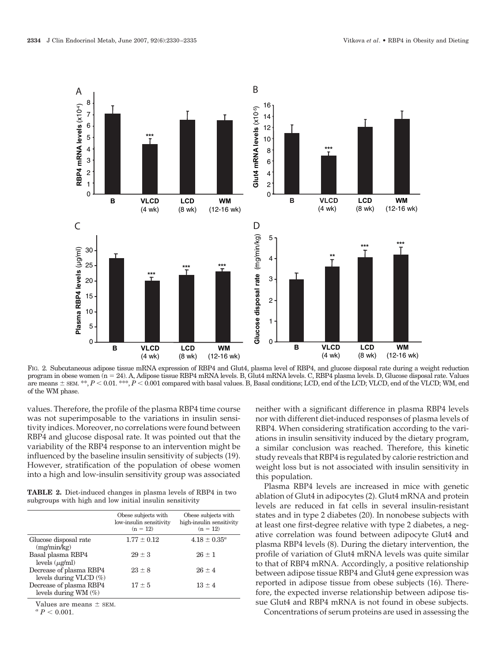

FIG. 2. Subcutaneous adipose tissue mRNA expression of RBP4 and Glut4, plasma level of RBP4, and glucose disposal rate during a weight reduction program in obese women (n 24). A, Adipose tissue RBP4 mRNA levels. B, Glut4 mRNA levels. C, RBP4 plasma levels. D, Glucose disposal rate. Values are means  $\pm$  sEM. \*\*, *P* < 0.01. \*\*\*, *P* < 0.001 compared with basal values. B, Basal conditions; LCD, end of the LCD; VLCD, end of the VLCD; WM, end of the WM phase.

values. Therefore, the profile of the plasma RBP4 time course was not superimposable to the variations in insulin sensitivity indices. Moreover, no correlations were found between RBP4 and glucose disposal rate. It was pointed out that the variability of the RBP4 response to an intervention might be influenced by the baseline insulin sensitivity of subjects (19). However, stratification of the population of obese women into a high and low-insulin sensitivity group was associated

**TABLE 2.** Diet-induced changes in plasma levels of RBP4 in two subgroups with high and low initial insulin sensitivity

|                                                    | Obese subjects with<br>low-insulin sensitivity<br>$(n = 12)$ | Obese subjects with<br>high-insulin sensitivity<br>$(n = 12)$ |
|----------------------------------------------------|--------------------------------------------------------------|---------------------------------------------------------------|
| Glucose disposal rate<br>(mg/min/kg)               | $1.77 \pm 0.12$                                              | $4.18 \pm 0.35^{\circ}$                                       |
| Basal plasma RBP4<br>levels $(\mu\text{g/ml})$     | $29 \pm 3$                                                   | $26 + 1$                                                      |
| Decrease of plasma RBP4<br>levels during VLCD (%)  | $23 \pm 8$                                                   | $26 + 4$                                                      |
| Decrease of plasma RBP4<br>levels during WM $(\%)$ | $17 \pm 5$                                                   | $13 \pm 4$                                                    |

Values are means  $\pm$  SEM.<br><sup>*a*</sup>  $P < 0.001$ .

neither with a significant difference in plasma RBP4 levels nor with different diet-induced responses of plasma levels of RBP4. When considering stratification according to the variations in insulin sensitivity induced by the dietary program, a similar conclusion was reached. Therefore, this kinetic study reveals that RBP4 is regulated by calorie restriction and weight loss but is not associated with insulin sensitivity in this population.

Plasma RBP4 levels are increased in mice with genetic ablation of Glut4 in adipocytes (2). Glut4 mRNA and protein levels are reduced in fat cells in several insulin-resistant states and in type 2 diabetes (20). In nonobese subjects with at least one first-degree relative with type 2 diabetes, a negative correlation was found between adipocyte Glut4 and plasma RBP4 levels (8). During the dietary intervention, the profile of variation of Glut4 mRNA levels was quite similar to that of RBP4 mRNA. Accordingly, a positive relationship between adipose tissue RBP4 and Glut4 gene expression was reported in adipose tissue from obese subjects (16). Therefore, the expected inverse relationship between adipose tissue Glut4 and RBP4 mRNA is not found in obese subjects.

Concentrations of serum proteins are used in assessing the